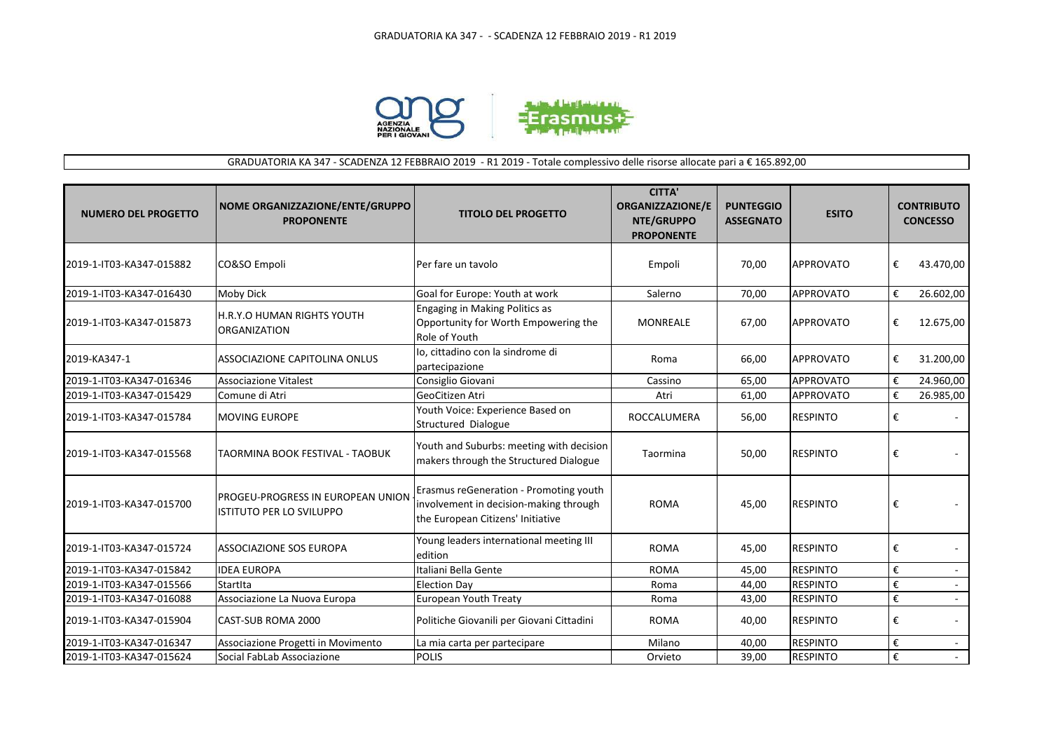

## GRADUATORIA KA 347 - SCADENZA 12 FEBBRAIO 2019 - R1 2019 - Totale complessivo delle risorse allocate pari a € 165.892,00

| <b>NUMERO DEL PROGETTO</b> | NOME ORGANIZZAZIONE/ENTE/GRUPPO<br><b>PROPONENTE</b>                        | <b>TITOLO DEL PROGETTO</b>                                                                                            | <b>CITTA'</b><br><b>ORGANIZZAZIONE/E</b><br>NTE/GRUPPO<br><b>PROPONENTE</b> | <b>PUNTEGGIO</b><br><b>ASSEGNATO</b> | <b>ESITO</b>     | <b>CONTRIBUTO</b><br><b>CONCESSO</b> |           |
|----------------------------|-----------------------------------------------------------------------------|-----------------------------------------------------------------------------------------------------------------------|-----------------------------------------------------------------------------|--------------------------------------|------------------|--------------------------------------|-----------|
| 2019-1-IT03-KA347-015882   | CO&SO Empoli                                                                | Per fare un tavolo                                                                                                    | Empoli                                                                      | 70,00                                | <b>APPROVATO</b> | €                                    | 43.470,00 |
| 2019-1-IT03-KA347-016430   | <b>Moby Dick</b>                                                            | Goal for Europe: Youth at work                                                                                        | Salerno                                                                     | 70,00                                | <b>APPROVATO</b> | €                                    | 26.602,00 |
| 2019-1-IT03-KA347-015873   | <b>H.R.Y.O HUMAN RIGHTS YOUTH</b><br><b>ORGANIZATION</b>                    | Engaging in Making Politics as<br>Opportunity for Worth Empowering the<br>Role of Youth                               | <b>MONREALE</b>                                                             | 67,00                                | <b>APPROVATO</b> | €                                    | 12.675,00 |
| 2019-KA347-1               | ASSOCIAZIONE CAPITOLINA ONLUS                                               | lo, cittadino con la sindrome di<br>partecipazione                                                                    | Roma                                                                        | 66,00                                | <b>APPROVATO</b> | €                                    | 31.200,00 |
| 2019-1-IT03-KA347-016346   | Associazione Vitalest                                                       | Consiglio Giovani                                                                                                     | Cassino                                                                     | 65,00                                | APPROVATO        | €                                    | 24.960,00 |
| 2019-1-IT03-KA347-015429   | Comune di Atri                                                              | GeoCitizen Atri                                                                                                       | Atri                                                                        | 61,00                                | <b>APPROVATO</b> | €                                    | 26.985,00 |
| 2019-1-IT03-KA347-015784   | <b>MOVING EUROPE</b>                                                        | Youth Voice: Experience Based on<br>Structured Dialogue                                                               | ROCCALUMERA                                                                 | 56,00                                | <b>RESPINTO</b>  | €                                    |           |
| 2019-1-IT03-KA347-015568   | TAORMINA BOOK FESTIVAL - TAOBUK                                             | Youth and Suburbs: meeting with decision<br>makers through the Structured Dialogue                                    | Taormina                                                                    | 50,00                                | <b>RESPINTO</b>  | €                                    |           |
| 2019-1-IT03-KA347-015700   | <b>PROGEU-PROGRESS IN EUROPEAN UNION</b><br><b>ISTITUTO PER LO SVILUPPO</b> | Erasmus reGeneration - Promoting youth<br>involvement in decision-making through<br>the European Citizens' Initiative | <b>ROMA</b>                                                                 | 45,00                                | <b>RESPINTO</b>  | €                                    |           |
| 2019-1-IT03-KA347-015724   | lassociazione sos europa                                                    | Young leaders international meeting III<br>edition                                                                    | <b>ROMA</b>                                                                 | 45,00                                | <b>RESPINTO</b>  | €                                    |           |
| 2019-1-IT03-KA347-015842   | <b>IDEA EUROPA</b>                                                          | Italiani Bella Gente                                                                                                  | <b>ROMA</b>                                                                 | 45,00                                | <b>RESPINTO</b>  | €                                    |           |
| 2019-1-IT03-KA347-015566   | StartIta                                                                    | <b>Election Day</b>                                                                                                   | Roma                                                                        | 44,00                                | <b>RESPINTO</b>  | €                                    |           |
| 2019-1-IT03-KA347-016088   | Associazione La Nuova Europa                                                | European Youth Treaty                                                                                                 | Roma                                                                        | 43,00                                | <b>RESPINTO</b>  | €                                    | $\sim$    |
| 2019-1-IT03-KA347-015904   | <b>CAST-SUB ROMA 2000</b>                                                   | Politiche Giovanili per Giovani Cittadini                                                                             | <b>ROMA</b>                                                                 | 40,00                                | <b>RESPINTO</b>  | €                                    |           |
| 2019-1-IT03-KA347-016347   | Associazione Progetti in Movimento                                          | La mia carta per partecipare                                                                                          | Milano                                                                      | 40,00                                | <b>RESPINTO</b>  | €                                    |           |
| 2019-1-IT03-KA347-015624   | Social FabLab Associazione                                                  | <b>POLIS</b>                                                                                                          | Orvieto                                                                     | 39,00                                | <b>RESPINTO</b>  | €                                    | $\sim$    |